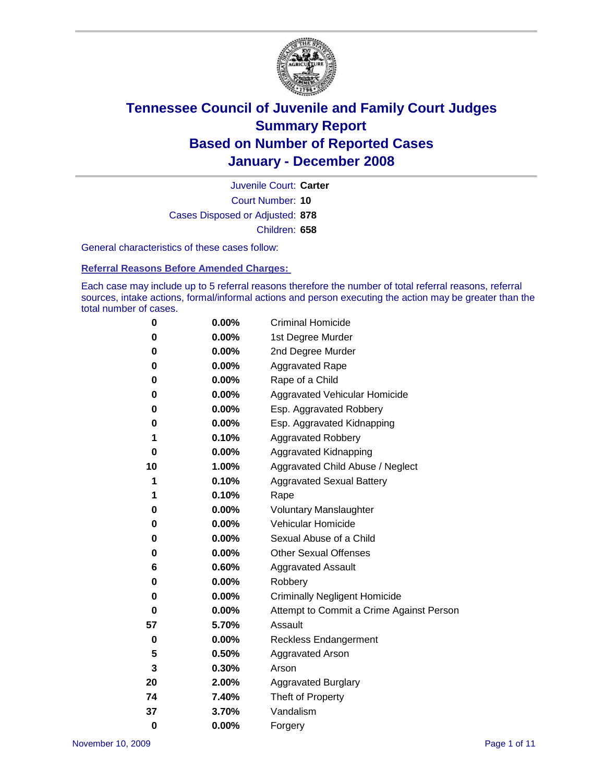

Court Number: **10** Juvenile Court: **Carter** Cases Disposed or Adjusted: **878** Children: **658**

General characteristics of these cases follow:

**Referral Reasons Before Amended Charges:** 

Each case may include up to 5 referral reasons therefore the number of total referral reasons, referral sources, intake actions, formal/informal actions and person executing the action may be greater than the total number of cases.

| 0        | 0.00%    | <b>Criminal Homicide</b>                 |
|----------|----------|------------------------------------------|
| 0        | 0.00%    | 1st Degree Murder                        |
| 0        | $0.00\%$ | 2nd Degree Murder                        |
| 0        | 0.00%    | <b>Aggravated Rape</b>                   |
| 0        | 0.00%    | Rape of a Child                          |
| 0        | 0.00%    | Aggravated Vehicular Homicide            |
| 0        | 0.00%    | Esp. Aggravated Robbery                  |
| 0        | 0.00%    | Esp. Aggravated Kidnapping               |
| 1        | 0.10%    | <b>Aggravated Robbery</b>                |
| 0        | 0.00%    | Aggravated Kidnapping                    |
| 10       | 1.00%    | Aggravated Child Abuse / Neglect         |
| 1        | 0.10%    | <b>Aggravated Sexual Battery</b>         |
| 1        | 0.10%    | Rape                                     |
| 0        | 0.00%    | <b>Voluntary Manslaughter</b>            |
| 0        | 0.00%    | Vehicular Homicide                       |
| 0        | 0.00%    | Sexual Abuse of a Child                  |
| 0        | 0.00%    | <b>Other Sexual Offenses</b>             |
| 6        | 0.60%    | <b>Aggravated Assault</b>                |
| 0        | 0.00%    | Robbery                                  |
| 0        | 0.00%    | <b>Criminally Negligent Homicide</b>     |
| 0        | 0.00%    | Attempt to Commit a Crime Against Person |
| 57       | 5.70%    | Assault                                  |
| 0        | 0.00%    | <b>Reckless Endangerment</b>             |
| 5        | 0.50%    | <b>Aggravated Arson</b>                  |
| 3        | 0.30%    | Arson                                    |
| 20       | 2.00%    | <b>Aggravated Burglary</b>               |
| 74       | 7.40%    | Theft of Property                        |
| 37       | 3.70%    | Vandalism                                |
| $\bf{0}$ | 0.00%    | Forgery                                  |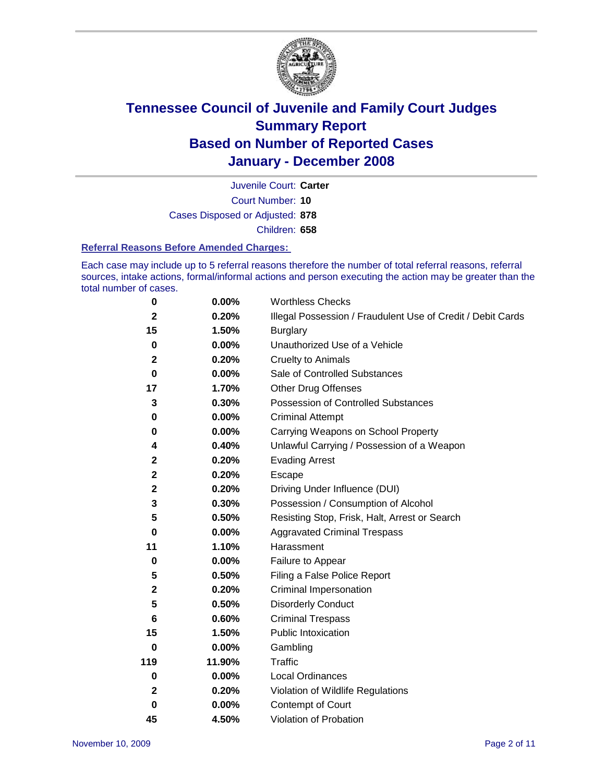

Court Number: **10** Juvenile Court: **Carter** Cases Disposed or Adjusted: **878** Children: **658**

#### **Referral Reasons Before Amended Charges:**

Each case may include up to 5 referral reasons therefore the number of total referral reasons, referral sources, intake actions, formal/informal actions and person executing the action may be greater than the total number of cases.

| 0            | 0.00%    | <b>Worthless Checks</b>                                     |
|--------------|----------|-------------------------------------------------------------|
| $\mathbf 2$  | 0.20%    | Illegal Possession / Fraudulent Use of Credit / Debit Cards |
| 15           | 1.50%    | <b>Burglary</b>                                             |
| 0            | $0.00\%$ | Unauthorized Use of a Vehicle                               |
| $\mathbf 2$  | 0.20%    | <b>Cruelty to Animals</b>                                   |
| $\bf{0}$     | $0.00\%$ | Sale of Controlled Substances                               |
| 17           | 1.70%    | <b>Other Drug Offenses</b>                                  |
| 3            | 0.30%    | Possession of Controlled Substances                         |
| 0            | 0.00%    | <b>Criminal Attempt</b>                                     |
| 0            | 0.00%    | Carrying Weapons on School Property                         |
| 4            | 0.40%    | Unlawful Carrying / Possession of a Weapon                  |
| $\mathbf 2$  | 0.20%    | <b>Evading Arrest</b>                                       |
| $\mathbf{2}$ | 0.20%    | Escape                                                      |
| $\mathbf 2$  | 0.20%    | Driving Under Influence (DUI)                               |
| 3            | 0.30%    | Possession / Consumption of Alcohol                         |
| 5            | 0.50%    | Resisting Stop, Frisk, Halt, Arrest or Search               |
| 0            | $0.00\%$ | <b>Aggravated Criminal Trespass</b>                         |
| 11           | 1.10%    | Harassment                                                  |
| $\bf{0}$     | 0.00%    | Failure to Appear                                           |
| 5            | 0.50%    | Filing a False Police Report                                |
| $\mathbf 2$  | 0.20%    | Criminal Impersonation                                      |
| 5            | 0.50%    | <b>Disorderly Conduct</b>                                   |
| 6            | 0.60%    | <b>Criminal Trespass</b>                                    |
| 15           | 1.50%    | <b>Public Intoxication</b>                                  |
| $\bf{0}$     | 0.00%    | Gambling                                                    |
| 119          | 11.90%   | Traffic                                                     |
| $\bf{0}$     | 0.00%    | <b>Local Ordinances</b>                                     |
| $\mathbf 2$  | 0.20%    | Violation of Wildlife Regulations                           |
| $\bf{0}$     | 0.00%    | Contempt of Court                                           |
| 45           | 4.50%    | Violation of Probation                                      |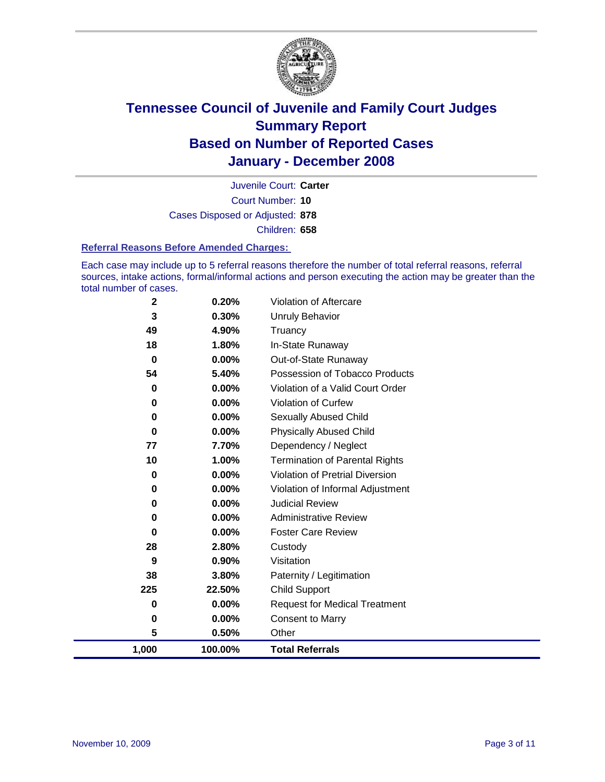

Court Number: **10** Juvenile Court: **Carter** Cases Disposed or Adjusted: **878** Children: **658**

#### **Referral Reasons Before Amended Charges:**

Each case may include up to 5 referral reasons therefore the number of total referral reasons, referral sources, intake actions, formal/informal actions and person executing the action may be greater than the total number of cases.

| $\mathbf 2$ | 0.20%    | Violation of Aftercare                 |
|-------------|----------|----------------------------------------|
| 3           | 0.30%    | <b>Unruly Behavior</b>                 |
| 49          | 4.90%    | Truancy                                |
| 18          | 1.80%    | In-State Runaway                       |
| $\bf{0}$    | 0.00%    | Out-of-State Runaway                   |
| 54          | 5.40%    | Possession of Tobacco Products         |
| 0           | $0.00\%$ | Violation of a Valid Court Order       |
| 0           | 0.00%    | Violation of Curfew                    |
| 0           | $0.00\%$ | Sexually Abused Child                  |
| 0           | 0.00%    | <b>Physically Abused Child</b>         |
| 77          | 7.70%    | Dependency / Neglect                   |
| 10          | 1.00%    | <b>Termination of Parental Rights</b>  |
| 0           | $0.00\%$ | <b>Violation of Pretrial Diversion</b> |
| 0           | $0.00\%$ | Violation of Informal Adjustment       |
| 0           | $0.00\%$ | <b>Judicial Review</b>                 |
| 0           | $0.00\%$ | <b>Administrative Review</b>           |
| 0           | $0.00\%$ | <b>Foster Care Review</b>              |
| 28          | 2.80%    | Custody                                |
| 9           | 0.90%    | Visitation                             |
| 38          | 3.80%    | Paternity / Legitimation               |
| 225         | 22.50%   | <b>Child Support</b>                   |
| 0           | $0.00\%$ | <b>Request for Medical Treatment</b>   |
| 0           | 0.00%    | <b>Consent to Marry</b>                |
| 5           | 0.50%    | Other                                  |
| 1,000       | 100.00%  | <b>Total Referrals</b>                 |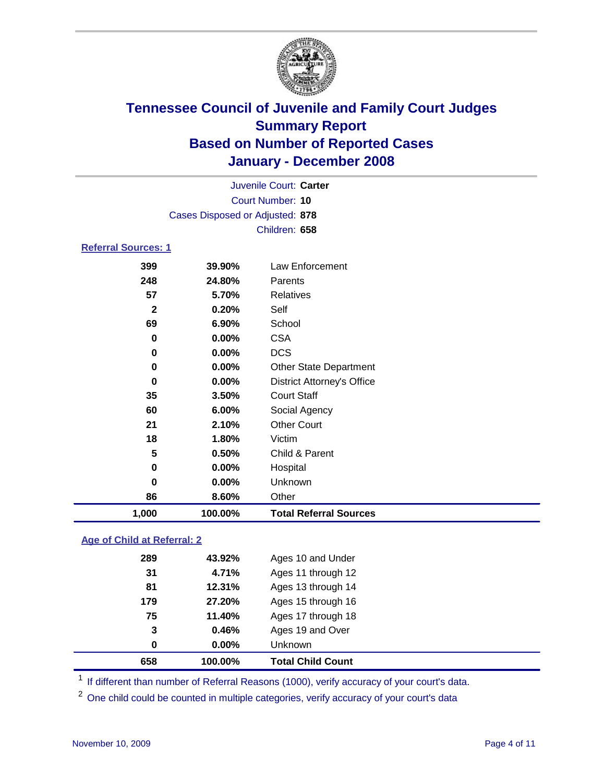

|                            |                                 | Juvenile Court: Carter            |  |  |  |  |
|----------------------------|---------------------------------|-----------------------------------|--|--|--|--|
| Court Number: 10           |                                 |                                   |  |  |  |  |
|                            | Cases Disposed or Adjusted: 878 |                                   |  |  |  |  |
|                            |                                 | Children: 658                     |  |  |  |  |
| <b>Referral Sources: 1</b> |                                 |                                   |  |  |  |  |
| 399                        | 39.90%                          | Law Enforcement                   |  |  |  |  |
| 248                        | 24.80%                          | Parents                           |  |  |  |  |
| 57                         | 5.70%                           | <b>Relatives</b>                  |  |  |  |  |
| $\mathbf{2}$               | 0.20%                           | Self                              |  |  |  |  |
| 69                         | $6.90\%$                        | School                            |  |  |  |  |
| 0                          | $0.00\%$                        | <b>CSA</b>                        |  |  |  |  |
| 0                          | $0.00\%$                        | <b>DCS</b>                        |  |  |  |  |
| 0                          | $0.00\%$                        | <b>Other State Department</b>     |  |  |  |  |
| 0                          | $0.00\%$                        | <b>District Attorney's Office</b> |  |  |  |  |
| 35                         | 3.50%                           | <b>Court Staff</b>                |  |  |  |  |

 **6.00%** Social Agency **2.10%** Other Court

**0.50%** Child & Parent

**1,000 100.00% Total Referral Sources**

 **0.00%** Hospital **0.00%** Unknown

# **Age of Child at Referral: 2**

| 658 | 100.00% | <b>Total Child Count</b> |
|-----|---------|--------------------------|
| 0   | 0.00%   | Unknown                  |
| 3   | 0.46%   | Ages 19 and Over         |
| 75  | 11.40%  | Ages 17 through 18       |
| 179 | 27.20%  | Ages 15 through 16       |
| 81  | 12.31%  | Ages 13 through 14       |
| 31  | 4.71%   | Ages 11 through 12       |
| 289 | 43.92%  | Ages 10 and Under        |
|     |         |                          |

**1.80%** Victim

**8.60%** Other

<sup>1</sup> If different than number of Referral Reasons (1000), verify accuracy of your court's data.

<sup>2</sup> One child could be counted in multiple categories, verify accuracy of your court's data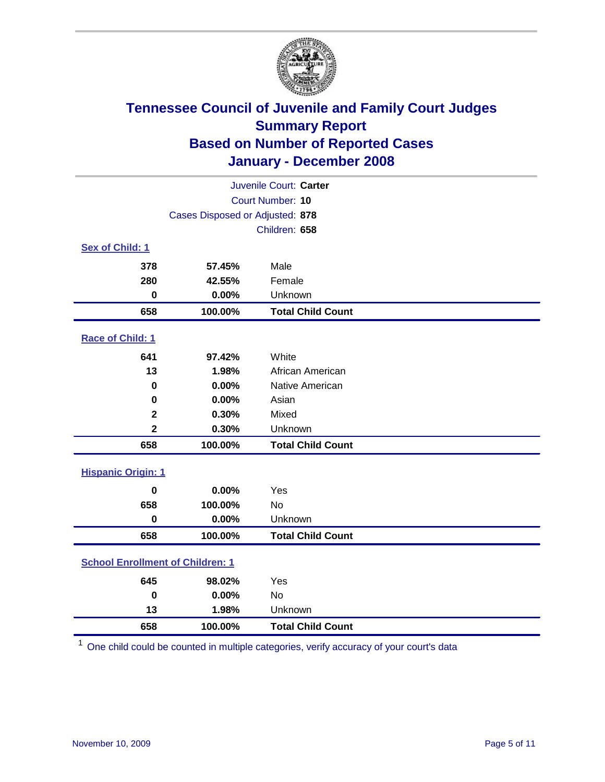

| Juvenile Court: Carter                  |                                 |                          |  |  |
|-----------------------------------------|---------------------------------|--------------------------|--|--|
| <b>Court Number: 10</b>                 |                                 |                          |  |  |
|                                         | Cases Disposed or Adjusted: 878 |                          |  |  |
| Children: 658                           |                                 |                          |  |  |
| Sex of Child: 1                         |                                 |                          |  |  |
| 378                                     | 57.45%                          | Male                     |  |  |
| 280                                     | 42.55%                          | Female                   |  |  |
| $\bf{0}$                                | 0.00%                           | Unknown                  |  |  |
| 658                                     | 100.00%                         | <b>Total Child Count</b> |  |  |
| <b>Race of Child: 1</b>                 |                                 |                          |  |  |
| 641                                     | 97.42%                          | White                    |  |  |
| 13                                      | 1.98%                           | African American         |  |  |
| 0                                       | 0.00%                           | Native American          |  |  |
| 0                                       | 0.00%                           | Asian                    |  |  |
| $\mathbf 2$                             | 0.30%                           | Mixed                    |  |  |
| $\overline{\mathbf{2}}$                 | 0.30%                           | Unknown                  |  |  |
| 658                                     | 100.00%                         | <b>Total Child Count</b> |  |  |
| <b>Hispanic Origin: 1</b>               |                                 |                          |  |  |
| $\bf{0}$                                | 0.00%                           | Yes                      |  |  |
| 658                                     | 100.00%                         | <b>No</b>                |  |  |
| $\mathbf 0$                             | 0.00%                           | Unknown                  |  |  |
| 658                                     | 100.00%                         | <b>Total Child Count</b> |  |  |
| <b>School Enrollment of Children: 1</b> |                                 |                          |  |  |
| 645                                     | 98.02%                          | Yes                      |  |  |
| $\bf{0}$                                | 0.00%                           | No                       |  |  |
| 13                                      | 1.98%                           | Unknown                  |  |  |
| 658                                     | 100.00%                         | <b>Total Child Count</b> |  |  |

One child could be counted in multiple categories, verify accuracy of your court's data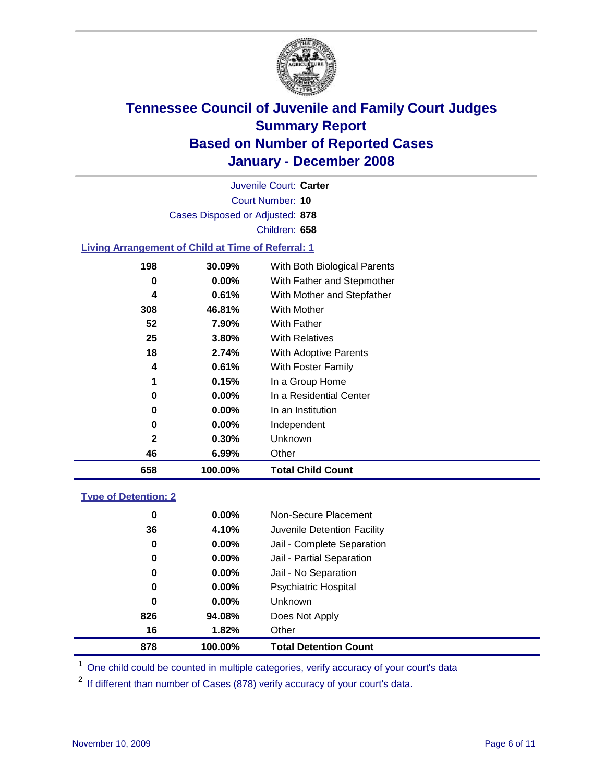

Court Number: **10** Juvenile Court: **Carter** Cases Disposed or Adjusted: **878** Children: **658**

#### **Living Arrangement of Child at Time of Referral: 1**

| 658 | 100.00%  | <b>Total Child Count</b>     |
|-----|----------|------------------------------|
| 46  | 6.99%    | Other                        |
| 2   | 0.30%    | Unknown                      |
| 0   | $0.00\%$ | Independent                  |
| 0   | $0.00\%$ | In an Institution            |
| 0   | $0.00\%$ | In a Residential Center      |
| 1   | 0.15%    | In a Group Home              |
| 4   | 0.61%    | With Foster Family           |
| 18  | 2.74%    | With Adoptive Parents        |
| 25  | 3.80%    | <b>With Relatives</b>        |
| 52  | 7.90%    | <b>With Father</b>           |
| 308 | 46.81%   | <b>With Mother</b>           |
| 4   | 0.61%    | With Mother and Stepfather   |
| 0   | $0.00\%$ | With Father and Stepmother   |
| 198 | 30.09%   | With Both Biological Parents |
|     |          |                              |

#### **Type of Detention: 2**

| 878 | 100.00%  | <b>Total Detention Count</b> |  |
|-----|----------|------------------------------|--|
| 16  | 1.82%    | Other                        |  |
| 826 | 94.08%   | Does Not Apply               |  |
| 0   | $0.00\%$ | <b>Unknown</b>               |  |
| 0   | 0.00%    | <b>Psychiatric Hospital</b>  |  |
| 0   | $0.00\%$ | Jail - No Separation         |  |
| 0   | $0.00\%$ | Jail - Partial Separation    |  |
| 0   | $0.00\%$ | Jail - Complete Separation   |  |
| 36  | 4.10%    | Juvenile Detention Facility  |  |
| 0   | $0.00\%$ | Non-Secure Placement         |  |
|     |          |                              |  |

<sup>1</sup> One child could be counted in multiple categories, verify accuracy of your court's data

<sup>2</sup> If different than number of Cases (878) verify accuracy of your court's data.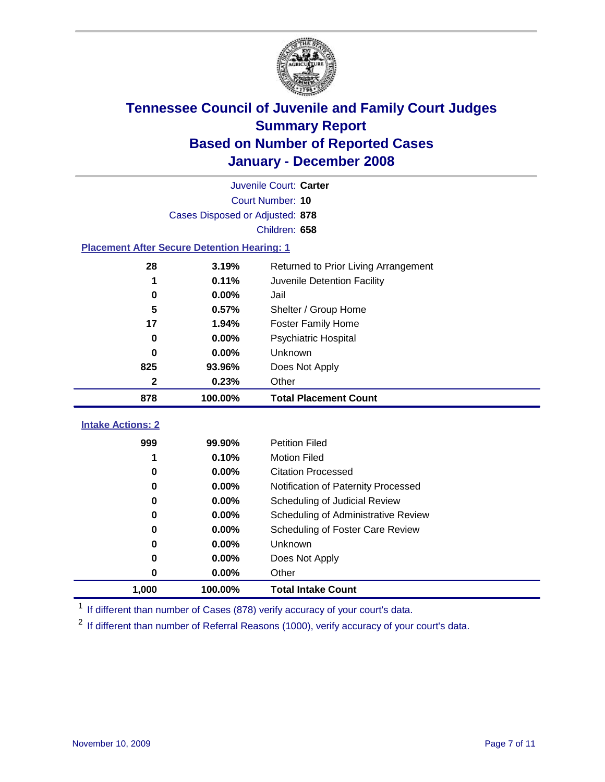

| Juvenile Court: Carter                             |                                 |                                      |  |  |  |  |
|----------------------------------------------------|---------------------------------|--------------------------------------|--|--|--|--|
|                                                    | Court Number: 10                |                                      |  |  |  |  |
|                                                    | Cases Disposed or Adjusted: 878 |                                      |  |  |  |  |
|                                                    | Children: 658                   |                                      |  |  |  |  |
| <b>Placement After Secure Detention Hearing: 1</b> |                                 |                                      |  |  |  |  |
| 28                                                 | 3.19%                           | Returned to Prior Living Arrangement |  |  |  |  |
| 1                                                  | 0.11%                           | Juvenile Detention Facility          |  |  |  |  |
| 0                                                  | 0.00%                           | Jail                                 |  |  |  |  |
| 5                                                  | 0.57%                           | Shelter / Group Home                 |  |  |  |  |
| 17                                                 | 1.94%                           | <b>Foster Family Home</b>            |  |  |  |  |
| 0                                                  | 0.00%                           | Psychiatric Hospital                 |  |  |  |  |
| 0                                                  | 0.00%                           | Unknown                              |  |  |  |  |
| 825                                                | 93.96%                          | Does Not Apply                       |  |  |  |  |
| 2                                                  | 0.23%                           | Other                                |  |  |  |  |
| 878                                                | 100.00%                         | <b>Total Placement Count</b>         |  |  |  |  |
|                                                    |                                 |                                      |  |  |  |  |
| <b>Intake Actions: 2</b>                           |                                 |                                      |  |  |  |  |
| 999                                                | 99.90%                          | <b>Petition Filed</b>                |  |  |  |  |
| 1                                                  | 0.10%                           | <b>Motion Filed</b>                  |  |  |  |  |
| $\bf{0}$                                           | 0.00%                           | <b>Citation Processed</b>            |  |  |  |  |
| 0                                                  | 0.00%                           | Notification of Paternity Processed  |  |  |  |  |
| $\bf{0}$                                           | 0.00%                           | Scheduling of Judicial Review        |  |  |  |  |
| $\bf{0}$                                           | 0.00%                           | Scheduling of Administrative Review  |  |  |  |  |
| 0                                                  | 0.00%                           | Scheduling of Foster Care Review     |  |  |  |  |
| $\bf{0}$                                           | 0.00%                           | Unknown                              |  |  |  |  |
| 0                                                  | 0.00%                           | Does Not Apply                       |  |  |  |  |
| 0                                                  | 0.00%                           | Other                                |  |  |  |  |
| 1,000                                              | 100.00%                         | <b>Total Intake Count</b>            |  |  |  |  |

<sup>1</sup> If different than number of Cases (878) verify accuracy of your court's data.

<sup>2</sup> If different than number of Referral Reasons (1000), verify accuracy of your court's data.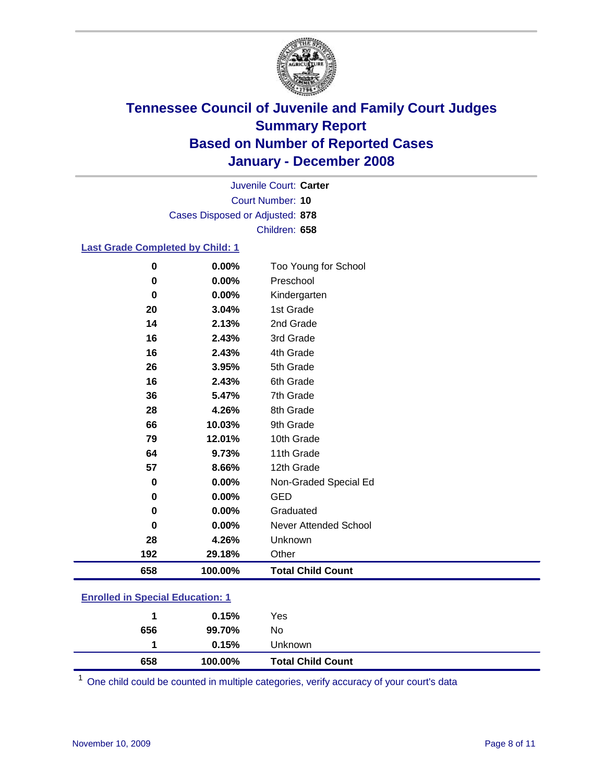

Court Number: **10** Juvenile Court: **Carter** Cases Disposed or Adjusted: **878** Children: **658**

#### **Last Grade Completed by Child: 1**

| 0        | 0.00%   | Too Young for School     |
|----------|---------|--------------------------|
| 0        | 0.00%   | Preschool                |
| $\bf{0}$ | 0.00%   | Kindergarten             |
| 20       | 3.04%   | 1st Grade                |
| 14       | 2.13%   | 2nd Grade                |
| 16       | 2.43%   | 3rd Grade                |
| 16       | 2.43%   | 4th Grade                |
| 26       | 3.95%   | 5th Grade                |
| 16       | 2.43%   | 6th Grade                |
| 36       | 5.47%   | 7th Grade                |
| 28       | 4.26%   | 8th Grade                |
| 66       | 10.03%  | 9th Grade                |
| 79       | 12.01%  | 10th Grade               |
| 64       | 9.73%   | 11th Grade               |
| 57       | 8.66%   | 12th Grade               |
| 0        | 0.00%   | Non-Graded Special Ed    |
| 0        | 0.00%   | <b>GED</b>               |
| 0        | 0.00%   | Graduated                |
| 0        | 0.00%   | Never Attended School    |
| 28       | 4.26%   | Unknown                  |
| 192      | 29.18%  | Other                    |
| 658      | 100.00% | <b>Total Child Count</b> |

### **Enrolled in Special Education: 1**

<sup>1</sup> One child could be counted in multiple categories, verify accuracy of your court's data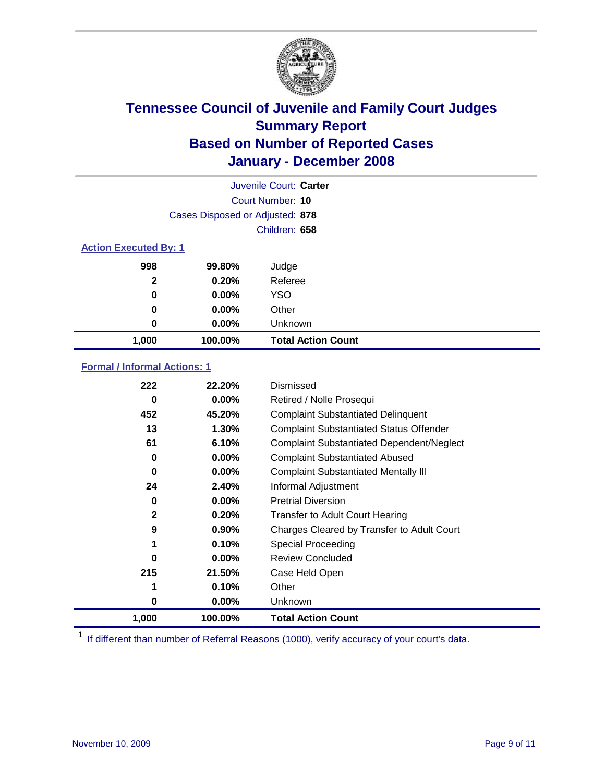

| Juvenile Court: Carter       |                                 |                           |  |  |  |
|------------------------------|---------------------------------|---------------------------|--|--|--|
|                              | Court Number: 10                |                           |  |  |  |
|                              | Cases Disposed or Adjusted: 878 |                           |  |  |  |
|                              |                                 | Children: 658             |  |  |  |
| <b>Action Executed By: 1</b> |                                 |                           |  |  |  |
| 998                          | 99.80%                          | Judge                     |  |  |  |
| $\mathbf{2}$                 | 0.20%                           | Referee                   |  |  |  |
| 0                            | $0.00\%$                        | <b>YSO</b>                |  |  |  |
| 0                            | $0.00\%$                        | Other                     |  |  |  |
| 0                            | $0.00\%$                        | Unknown                   |  |  |  |
| 1,000                        | 100.00%                         | <b>Total Action Count</b> |  |  |  |

#### **Formal / Informal Actions: 1**

| 222          | 22.20%   | Dismissed                                        |
|--------------|----------|--------------------------------------------------|
| 0            | $0.00\%$ | Retired / Nolle Prosequi                         |
| 452          | 45.20%   | <b>Complaint Substantiated Delinquent</b>        |
| 13           | 1.30%    | <b>Complaint Substantiated Status Offender</b>   |
| 61           | 6.10%    | <b>Complaint Substantiated Dependent/Neglect</b> |
| 0            | $0.00\%$ | <b>Complaint Substantiated Abused</b>            |
| 0            | $0.00\%$ | <b>Complaint Substantiated Mentally III</b>      |
| 24           | 2.40%    | Informal Adjustment                              |
| 0            | $0.00\%$ | <b>Pretrial Diversion</b>                        |
| $\mathbf{2}$ | 0.20%    | <b>Transfer to Adult Court Hearing</b>           |
| 9            | 0.90%    | Charges Cleared by Transfer to Adult Court       |
| 1            | 0.10%    | Special Proceeding                               |
| 0            | $0.00\%$ | <b>Review Concluded</b>                          |
| 215          | 21.50%   | Case Held Open                                   |
| 1            | 0.10%    | Other                                            |
| 0            | $0.00\%$ | Unknown                                          |
| 1,000        | 100.00%  | <b>Total Action Count</b>                        |

<sup>1</sup> If different than number of Referral Reasons (1000), verify accuracy of your court's data.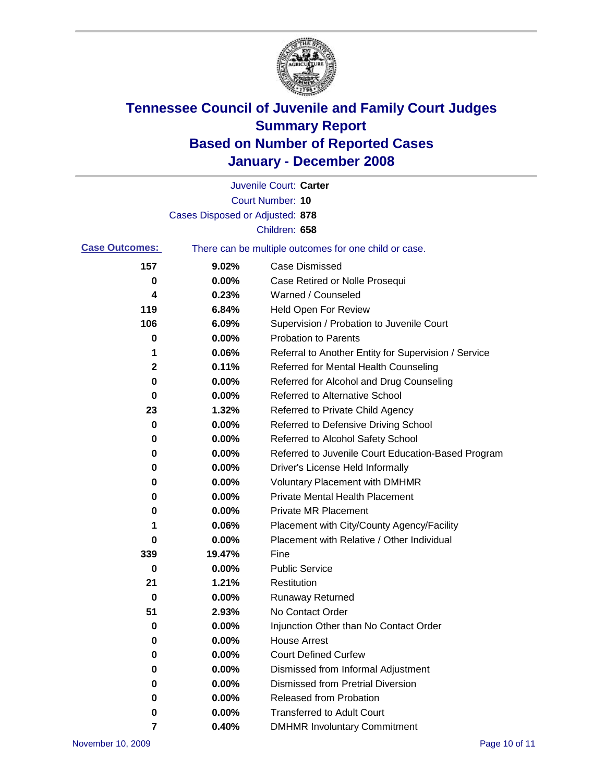

|                       |                                 | Juvenile Court: Carter                                |
|-----------------------|---------------------------------|-------------------------------------------------------|
|                       |                                 | <b>Court Number: 10</b>                               |
|                       | Cases Disposed or Adjusted: 878 |                                                       |
|                       |                                 | Children: 658                                         |
| <b>Case Outcomes:</b> |                                 | There can be multiple outcomes for one child or case. |
| 157                   | 9.02%                           | Case Dismissed                                        |
| 0                     | 0.00%                           | Case Retired or Nolle Prosequi                        |
| 4                     | 0.23%                           | Warned / Counseled                                    |
| 119                   | 6.84%                           | Held Open For Review                                  |
| 106                   | 6.09%                           | Supervision / Probation to Juvenile Court             |
| 0                     | 0.00%                           | <b>Probation to Parents</b>                           |
| 1                     | 0.06%                           | Referral to Another Entity for Supervision / Service  |
| 2                     | 0.11%                           | Referred for Mental Health Counseling                 |
| 0                     | 0.00%                           | Referred for Alcohol and Drug Counseling              |
| 0                     | 0.00%                           | <b>Referred to Alternative School</b>                 |
| 23                    | 1.32%                           | Referred to Private Child Agency                      |
| 0                     | 0.00%                           | Referred to Defensive Driving School                  |
| 0                     | 0.00%                           | Referred to Alcohol Safety School                     |
| 0                     | 0.00%                           | Referred to Juvenile Court Education-Based Program    |
| 0                     | 0.00%                           | Driver's License Held Informally                      |
| 0                     | 0.00%                           | <b>Voluntary Placement with DMHMR</b>                 |
| 0                     | 0.00%                           | <b>Private Mental Health Placement</b>                |
| 0                     | 0.00%                           | <b>Private MR Placement</b>                           |
| 1                     | 0.06%                           | Placement with City/County Agency/Facility            |
| 0                     | 0.00%                           | Placement with Relative / Other Individual            |
| 339                   | 19.47%                          | Fine                                                  |
| 0                     | 0.00%                           | <b>Public Service</b>                                 |
| 21                    | 1.21%                           | Restitution                                           |
| 0                     | 0.00%                           | <b>Runaway Returned</b>                               |
| 51                    | 2.93%                           | No Contact Order                                      |
| 0                     | 0.00%                           | Injunction Other than No Contact Order                |
| 0                     | 0.00%                           | <b>House Arrest</b>                                   |
| 0                     | 0.00%                           | <b>Court Defined Curfew</b>                           |
| 0                     | 0.00%                           | Dismissed from Informal Adjustment                    |
| 0                     | 0.00%                           | <b>Dismissed from Pretrial Diversion</b>              |
| 0                     | 0.00%                           | Released from Probation                               |
| 0                     | 0.00%                           | <b>Transferred to Adult Court</b>                     |
| 7                     | 0.40%                           | <b>DMHMR Involuntary Commitment</b>                   |